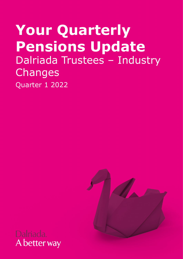# **Your Quarterly Pensions Update**  Dalriada Trustees – Industry Changes Quarter 1 2022



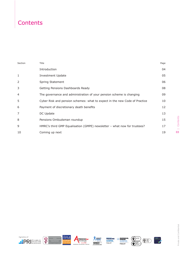# **Contents**

| Section | Title                                                                      | Page |
|---------|----------------------------------------------------------------------------|------|
|         | Introduction                                                               | 04   |
| 1       | Investment Update                                                          | 05   |
| 2       | Spring Statement                                                           | 06   |
| 3       | Getting Pensions Dashboards Ready                                          | 08   |
| 4       | The governance and administration of your pension scheme is changing       | 09   |
| 5       | Cyber Risk and pension schemes: what to expect in the new Code of Practice | 10   |
| 6       | Payment of discretionary death benefits                                    | 12   |
| 7       | DC Update                                                                  | 13   |
| 8       | Pensions Ombudsman roundup                                                 | 15   |
| 9       | HMRC's third GMP Equalisation (GMPE) newsletter - what now for trustees?   | 17   |
| 10      | Coming up next                                                             | 19   |











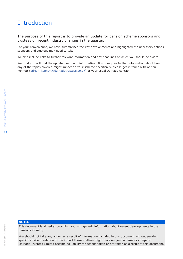# Introduction

The purpose of this report is to provide an update for pension scheme sponsors and trustees on recent industry changes in the quarter.

For your convenience, we have summarised the key developments and highlighted the necessary actions sponsors and trustees may need to take.

We also include links to further relevant information and any deadlines of which you should be aware.

We trust you will find the update useful and informative. If you require further information about how any of the topics covered might impact on your scheme specifically, please get in touch with Adrian Kennett [\(adrian\\_kennett@dalriadatrustees.co.uk](mailto:adrian_kennett%40dalriadatrustees.co.uk?subject=)) or your usual Dalriada contact.

### **NOTES**

This document is aimed at providing you with generic information about recent developments in the pensions industry.

You should not take any action as a result of information included in this document without seeking specific advice in relation to the impact these matters might have on your scheme or company. Dalriada Trustees Limited accepts no liability for actions taken or not taken as a result of this document.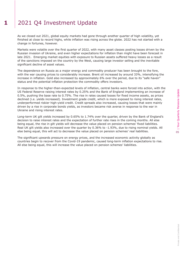# 1 2021 Q4 Investment Update

As we closed out 2021, global equity markets had gone through another quarter of high volatility, yet finished at close to record highs, while inflation was rising across the globe. 2022 has not started with a change in fortunes, however.

Markets were volatile over the first quarter of 2022, with many asset classes posting losses driven by the Russian invasion of Ukraine, and even higher expectations for inflation than might have been forecast in late 2021. Emerging market equities with exposure to Russian assets suffered heavy losses as a result of the sanctions imposed on the country by the West, causing large investor selling and the inevitable significant decline of asset values.

The dependence on Russia as a major energy and commodity producer has been brought to the fore, with the war causing prices to considerably increase. Brent oil increased by around 33%, intensifying the increase in inflation. Gold also increased by approximately 6% over the period, due to its "safe haven" status and the potential inflation protection the commodity offers investors.

In response to the higher-than-expected levels of inflation, central banks were forced into action, with the US Federal Reserve raising interest rates by 0.25% and the Bank of England implementing an increase of 0.5%, pushing the base rate to 0.75%. The rise in rates caused losses for fixed income assets, as prices declined (i.e. yields increased). Investment grade credit, which is more exposed to rising interest rates, underperformed riskier high-yield credit. Credit spreads also increased, causing losses that were mainly driven by a rise in corporate bonds yields, as investors became risk averse in response to the war in Ukraine and rising interest rates.

Long-term UK gilt yields increased by 0.65% to 1.74% over the quarter, driven by the Bank of England's decision to raise interest rates and the expectation of further rate rises in the coming months. All else being equal, the rise in gilt yields will decrease the value placed on pension schemes' fixed liabilities. Real UK gilt yields also increased over the quarter by 0.36% to -1.93%, due to rising nominal yields. All else being equal, this will act to decrease the value placed on pension schemes' real liabilities.

The significant upwards pressure on energy prices, and the increased economic activity globally as countries begin to recover from the Covid-19 pandemic, caused long-term inflation expectations to rise. All else being equal, this will increase the value placed on pension schemes' liabilities.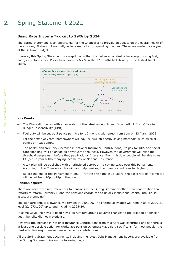# **2** Spring Statement 2022

# **Basic Rate Income Tax cut to 19% by 2024**

The Spring Statement is an opportunity for the Chancellor to provide an update on the overall health of the economy. It does not normally include major tax or spending changes. These are made once a year at the Autumn Budget.

However, this Spring Statement is exceptional in that it is delivered against a backdrop of rising fuel, energy and food costs. Prices have risen by 6.2% in the 12 months to February - the fastest for 30 years.



### **Key Points**

- The Chancellor began with an overview of the latest economic and fiscal outlook from Office for Budget Responsibility (OBR).
- Fuel duty will be cut by 5 pence per litre for 12 months with effect from 6pm on 23 March 2022.
- For the next five years, homeowners will pay 0% VAT on energy saving materials, such as solar panels or heat pumps.
- The health and care levy (increase in National Insurance Contributions), to pay for NHS and social care spending, will go ahead as previously announced. However, the government will raise the threshold people earn before they pay National Insurance. From this July, people will be able to earn £12,570 a year without paying income tax or National Insurance.
- ─ A tax plan will be published with a 'principled approach' to cutting taxes over this Parliament. According to the Chancellor, this will first help families, then create conditions for higher growth.
- Before the end of this Parliament in 2024, "for the first time in 16 years" the basic rate of income tax will be cut from 20p to 19p in the pound.

### **Pension aspects**

There are very few direct references to pensions in the Spring Statement other than confirmation that "efforts to reform Solvency II and the pensions charge cap to unlock institutional capital into illiquid assets are ongoing".

The standard annual allowance will remain at £40,000. The lifetime allowance will remain at its 2020-21 level (£1,073,100) up to and including 2025-26.

In some ways, 'no news is good news' as rumours around adverse changes to the taxation of pension death benefits did not materialise.

However, the increase in National Insurance Contributions from this April was confirmed and so there is at least one possible action for workplace pension schemes; viz, salary sacrifice is, for most people, the most effective way to make pension scheme contributions.

All the Spring Statement documents, including the latest Debt Management Report, are available from the Spring Statement link on the following page.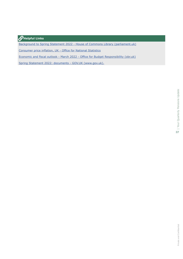# **Helpful Links**

[Background to Spring Statement 2022 - House of Commons Library \(parliament.uk\)](https://commonslibrary.parliament.uk/research-briefings/cbp-9500/)

[Consumer](https://www.ons.gov.uk/economy/inflationandpriceindices/bulletins/consumerpriceinflation/february2022) price inflation, UK - Office for National Statistics

Economic and fiscal outlook - March 2022 - Office for Budget [Responsibility](https://obr.uk/efo/economic-and-fiscal-outlook-march-2022/) (obr.uk)

Spring Statement 2022: documents - GOV.UK [\(www.gov.uk\).](https://www.gov.uk/government/publications/spring-statement-2022-documents)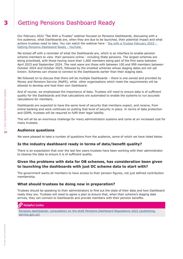# **3** Getting Pensions Dashboard Ready

Our February 2022 "Tea With a Trustee" webinar focused on Pensions Dashboards, discussing with a live audience, what Dashboards are, when they are due to be launched, their potential impact and what actions trustees need to take. You can watch the webinar here - [Tea with a Trustee February 2022 -](https://www.youtube.com/watch?v=wEOO_OeTtvg&list=PLiFELJuBupspBdPRwM3SdY0bVVF-PDU5k&index=15)  [Getting Pensions Dashboard Ready - YouTube.](https://www.youtube.com/watch?v=wEOO_OeTtvg&list=PLiFELJuBupspBdPRwM3SdY0bVVF-PDU5k&index=15) 

We kicked off with a reminder of what the Dashboards are, which is an interface to enable pension scheme members to view their pensions online - including State pensions. The largest schemes are being prioritised, with those having more than 1,000 members being part of the first wave between April 2023 and September 2024. The next wave are those with between 100 and 999 members between October 2024 and October 2025, followed by the smallest schemes whose staging dates are not yet known. Schemes can choose to connect to the Dashboards earlier than their staging date.

We followed on to discuss that there will be multiple Dashboards - there is one owned and provided by Money and Pensions Service (MaPS), while other organisations which meet the requirements will be allowed to develop and host their own Dashboard.

And of course, we emphasised the importance of data. Trustees will need to ensure data is of sufficient quality for the Dashboards and that calculations are automated to enable the systems to run accurate calculations for members.

Dashboards are expected to have the same level of security that members expect, and receive, from online banking and work continues on putting that level of security in place. In terms of data protection and GDPR, trustees will be required to fulfil their legal liability.

This will all be an enormous challenge for many administration systems and come at an increased cost for many trustees.

# **Audience questions**

We were pleased to take a number of questions from the audience, some of which we have listed below.

# **Is the industry dashboard ready in terms of data/benefit quality?**

There is an expectation that over the last few years trustees have been working with their administrator to cleanse the data to ensure it is of sufficient quality.

# **Given the problems with data for DB schemes, has consideration been given to launching the dashboards with just DC scheme data to start with?**

The government wants all members to have access to their pension figures, not just defined contribution membership.

# **What should trustees be doing now in preparation?**

Trustees should be speaking to their administrators to find out the state of their data and how Dashboard ready they are. Trustees will need to agree a plan to ensure that, when their scheme's staging date arrives, they can connect to Dashboards and provide members with their pension benefits.

# *G* Helpful Links

[Pensions dashboards: consultation on the draft Pensions Dashboard Regulations 2022 \(publishing.](https://www.gov.uk/government/consultations/pensions-dashboards-consultation-on-the-draft-pensions-dashboards-regulations-2022/pensions-dashboards-consultation-on-the-draft-pensions-dashboards-regulations-2022?msclkid=11a10f58b9ae11ec8f787d43736635c9) [service.gov.uk\)](https://www.gov.uk/government/consultations/pensions-dashboards-consultation-on-the-draft-pensions-dashboards-regulations-2022/pensions-dashboards-consultation-on-the-draft-pensions-dashboards-regulations-2022?msclkid=11a10f58b9ae11ec8f787d43736635c9)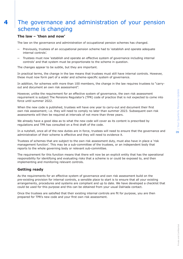# **4** The governance and administration of your pension scheme is changing

# **The law – 'then and now'**

The law on the governance and administration of occupational pension schemes has changed.

- Previously, trustees of an occupational pension scheme had to 'establish and operate adequate internal controls'.
- Trustees must now 'establish and operate an effective system of governance including internal controls' and that system must be proportionate to the scheme in question.

The changes appear to be subtle, but they are important.

In practical terms, the change in the law means that trustees must still have internal controls. However, these must now form part of a wider and scheme-specific system of governance.

In addition, for schemes with more than 100 members, the change in the law requires trustees to "carryout and document an own risk assessment".

However, unlike the requirement for an effective system of governance, the own risk assessment requirement is subject The Pensions Regulator's (TPR) code of practice that is not expected to come into force until summer 2022.

When the new code is published, trustees will have one year to carry-out and document their first own risk assessment; i.e. they will need to comply no later than summer 2023. Subsequent own risk assessments will then be required at intervals of not more than three years.

We already have a good idea as to what the new code will cover as its content is prescribed by regulations and TPR has consulted on a first draft of the code.

In a nutshell, once all of the new duties are in force, trustees will need to ensure that the governance and administration of their scheme is effective and they will need to evidence it.

Trustees of schemes that are subject to the own risk assessment duty, must also have in place a 'risk management function'. This may be a sub-committee of the trustees, or an independent body that reports to the whole governing body or relevant sub-committee.

The requirement for this function means that there will now be an explicit entity that has the operational responsibility for identifying and evaluating risks that a scheme is or could be exposed to, and then implementing and monitoring relevant controls.

# **Getting ready**

As the requirements for an effective system of governance and own risk assessment build on the pre-existing provision for internal controls, a sensible place to start is to ensure that all your existing arrangements, procedures and systems are compliant and up to date. We have developed a checklist that could be used for this purpose and this can be obtained from your usual Dalriada contact.

Once the trustees are satisfied that their existing internal controls are fit for purpose, you are then prepared for TPR's new code and your first own risk assessment.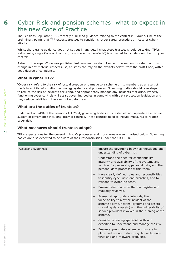# **6** Cyber Risk and pension schemes: what to expect in the new Code of Practice

The Pensions Regulator (TPR) recently published guidance relating to the conflict in Ukraine. One of the preliminary points that TPR expects trustees to consider is 'cyber safety procedures in case of cyberattacks'.

Whilst the Ukraine guidance does not set out in any detail what steps trustees should be taking, TPR's forthcoming single Code of Practice (the so-called 'super-Code') is expected to include a number of cyber controls.

A draft of the super-Code was published last year and we do not expect the section on cyber controls to change in any material respects. So, trustees can rely on the extracts below, from the draft Code, with a good degree of confidence.

# **What is cyber risk?**

'Cyber risk' refers to the risk of loss, disruption or damage to a scheme or its members as a result of the failure of its information technology systems and processes. Governing bodies should take steps to reduce the risk of incidents occurring, and appropriately manage any incidents that arise. Properly functioning cyber controls will assist governing bodies in complying with data protection legislation and may reduce liabilities in the event of a data breach.

# **What are the duties of trustees?**

Under section 249A of the Pensions Act 2004, governing bodies must establish and operate an effective system of governance including internal controls. These controls need to include measures to reduce cyber risk.

### **What measures should trustees adopt?**

TPR's expectations for the governing body's processes and procedures are summarised below. Governing bodies are also expected to be aware of their responsibilities under the UK GDPR.

| Assessing cyber risk | Ensure the governing body has knowledge and<br>understanding of cyber risk.                                                                                                                                                                        |
|----------------------|----------------------------------------------------------------------------------------------------------------------------------------------------------------------------------------------------------------------------------------------------|
|                      | Understand the need for confidentiality,<br>integrity and availability of the systems and<br>services for processing personal data, and the<br>personal data processed within them.                                                                |
|                      | Have clearly defined roles and responsibilities<br>to identify cyber risks and breaches, and to<br>respond to cyber incidents.                                                                                                                     |
|                      | Ensure cyber risk is on the risk register and<br>regularly reviewed.                                                                                                                                                                               |
|                      | Assess, at appropriate intervals, the<br>vulnerability to a cyber incident of the<br>scheme's key functions, systems and assets<br>(including data assets) and the vulnerability of<br>service providers involved in the running of the<br>scheme. |
|                      | Consider accessing specialist skills and<br>expertise to understand and manage the risk.                                                                                                                                                           |
|                      | Ensure appropriate system controls are in<br>place and are up to date (e.g. firewalls, anti-<br>virus and anti-malware products).                                                                                                                  |
|                      |                                                                                                                                                                                                                                                    |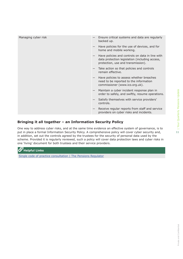11

| Managing cyber risk | Ensure critical systems and data are regularly<br>backed up.                                                                            |
|---------------------|-----------------------------------------------------------------------------------------------------------------------------------------|
|                     | Have policies for the use of devices, and for<br>home and mobile working.                                                               |
|                     | Have policies and controls on data in line with<br>data protection legislation (including access,<br>protection, use and transmission). |
|                     | Take action so that policies and controls<br>remain effective.                                                                          |
|                     | Have policies to assess whether breaches<br>need to be reported to the information<br>commissioner (www.ico.org.uk).                    |
|                     | Maintain a cyber incident response plan in<br>order to safely, and swiftly, resume operations.                                          |
|                     | Satisfy themselves with service providers'<br>controls.                                                                                 |
|                     | Receive regular reports from staff and service<br>$\qquad \qquad -$<br>providers on cyber risks and incidents.                          |

# **Bringing it all together – an Information Security Policy**

One way to address cyber risks, and at the same time evidence an effective system of governance, is to put in place a formal Information Security Policy. A comprehensive policy will cover cyber security and, in addition, set out the controls agreed by the trustees for the security of personal data used by the scheme. Provided it is regularly reviewed, such a policy will cover data protection laws and cyber risks in one 'living' document for both trustees and their service providers.

 $\mathscr{P}_{\textrm{Helpful Links}}$ 

[Single code of practice consultation | The Pensions Regulator](https://www.thepensionsregulator.gov.uk/en/document-library/consultations/new-code-of-practice)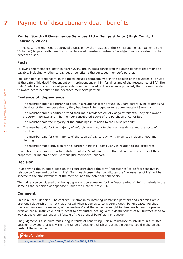# **7** Payment of discretionary death benefits

# **Punter Southall Governance Services Ltd v Benge & Anor (High Court, 1 February 2022)**

In this case, the High Court approved a decision by the trustees of the BST Group Pension Scheme (the "Scheme") to pay death benefits to the deceased member's partner after objections were raised by the deceased's son.

# **Facts**

Following the member's death in March 2010, the trustees considered the death benefits that might be payable, including whether to pay death benefits to the deceased member's partner.

The definition of 'dependant' in the Rules included someone who 'in the opinion of the trustees is (or was at the date of his death) dependent or interdependent on him for all or any of the necessaries of life'. The HMRC definition for authorised payments is similar. Based on the evidence provided, the trustees decided to award death benefits to the deceased member's partner.

# **Evidence of 'dependency'**

- ─ The member and his partner had been in a relationship for around 10 years before living together. At the date of the member's death, they had been living together for approximately 18 months.
- ─ The member and his partner owned their main residence equally as joint tenants. They also owned property in Switzerland. The member contributed 100% of the purchase price for both.
- ─ The member paid the majority of the outgoings in relation to the Swiss property.
- The member paid for the majority of refurbishment work to the main residence and the costs of furniture.
- ─ The member paid for the majority of the couples' day-to-day living expenses including food and clothing.
- The member made provision for his partner in his will, particularly in relation to the properties.

In addition, the member's partner stated that she "could not have afforded to purchase either of these properties, or maintain them, without [the member's] support."

# **Decision**

In approving the trustee's decision the court considered the term "necessaries" to be fact sensitive in relation to "class and position in life". So, in each case, what constitutes the "necessaries of life" will be specific to the circumstances of the member and the potential beneficiary.

The judge also considered that being dependant on someone for the "necessaries of life", is materially the same as the definition of dependant under the Finance Act 2004.

# **Comment**

This is a useful decision. The context - relationships involving unmarried partners and children from a previous relationship - is not that unusual when it comes to considering death benefit cases. Further, the comments on the meaning of 'dependency' and the evidence sought for trustees to reach a proper decision are all instructive and relevant to any trustee dealing with a death benefit case. Trustees need to look at the circumstances and lifestyle of the potential beneficiary in question.

The judgment is also quite reassuring in terms of confirming judicial reluctance to interfere in a trustee decision provided that it is within the range of decisions which a reasonable trustee could make on the basis of the evidence.



<https://www.bailii.org/ew/cases/EWHC/Ch/2022/193.html>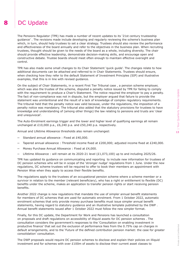# | Your Quarterly Pensions Update Private and Confidential | Your Quarterly Pensions Update 13

# 8 | DC Update

The Pensions Regulator (TPR) has made a number of recent updates to its '21st century trusteeship guidance' . The revisions made include developing and regularly reviewing the scheme's business plan which, in turn, should help trustees to set a clear strategy. Trustees should also review the performance and effectiveness of the board annually and refer to the objectives in the business plan. When recruiting trustees, thought should be given to the needs of the board as a whole, including diversity. The chair should provide effective leadership, demonstrate decision-making skills, and encourage open and constructive debate. Trustee boards should meet often enough to maintain effective oversight and control.

TPR has also made some small changes to its Chair Statement 'quick guide'. The changes relate to how additional documents can be attached and referred to in Chair Statements. Trustees should ensure, when checking how they refer to the default Statement of Investment Principles (SIP) and illustrative examples, that this is in line with revised guidance.

On the subject of Chair Statements, in a recent First Tier Tribunal case , a pension scheme employer, which was also the trustee of the scheme, disputed a penalty notice issued by TPR for failing to comply with the requirement to produce a Chair's Statement. The notice required the employer to pay a penalty. The fact of non-compliance was not in dispute, but the employer argued that failure to provide the statement was unintentional and the result of a lack of knowledge of complex regulatory requirements. The tribunal held that the penalty notice was valid because, under the regulations, the imposition of a penalty notice was mandatory. The tribunal also added that the statutory provisions for trustees to have knowledge and understanding of (among other things) the law relating to pensions and trusts are 'clear and unequivocal'.

The Auto-Enrolment earnings trigger and the lower and higher level of qualifying earnings all remain unchanged at £10,000 p.a., £6,240 p.a. and £50,240 p.a. respectively.

Annual and Lifetime Allowance thresholds also remain unchanged:

- Standard annual allowance : Fixed at £40,000.
- Tapered annual allowance : Threshold income fixed at £200,000; adjusted income fixed at £240,000.
- Money Purchase Annual Allowance : Fixed at £4,000.
- ─ Lifetime Allowance : will remain at its 2020-21 level (£1,073,100) up to and including 2025/26.

TPR has updated its guidance on communicating and reporting to include new information for trustees of DC pension schemes who will be in scope of the 'stronger nudge' regulations from 1 June. Under the new regulations, DC scheme trustees will be required to offer to book their members an appointment with Pension Wise when they apply to access their flexible benefits.

The regulations apply to the trustees of an occupational pension scheme where a scheme member or a survivor in relation to the member (relevant beneficiary), who has a right or entitlement to flexible (DC) benefits under the scheme, makes an application to transfer pension rights or start receiving pension benefits.

Another 2022 change is new regulations that mandate the use of simpler annual benefit statements for members of DC schemes that are used for automatic enrolment. From 1 October 2022, automatic enrolment schemes that only provide money purchase benefits must issue simpler annual benefit statements, having regard to statutory guidance and an illustrative template published by the DWP . Annual benefit statements issued after 1 October 2022 must follow the new simpler format.

Finally, for this DC update, the Department for Work and Pensions has launched a consultation on proposals and draft regulations on accessibility of illiquid assets for DC pension schemes . The consultation considers the government's responses to the 'Consultation on enabling investment in productive finance' that set out the exclusion of performance fees from the 0.75% cap on charges in default arrangements, and to the 'Future of the defined contribution pension market: the case for greater consolidation' consultation.

The DWP proposals would require DC pension schemes to disclose and explain their policies on illiquid investment and for schemes with over £100m of assets to disclose their current asset classes to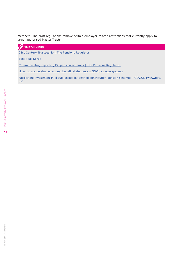members. The draft regulations remove certain employer-related restrictions that currently apply to large, authorised Master Trusts.

# **Helpful Links**

[21st Century Trusteeship | The Pensions Regulator](https://www.thepensionsregulator.gov.uk/en/trustees/21st-century-trusteeship)

[Ease \(bailii.org\)](https://www.bailii.org/uk/cases/UKFTT/GRC/2022/PEN-2021-0219.pdf)

[Communicating reporting DC pension schemes | The Pensions Regulator](https://www.thepensionsregulator.gov.uk/en/document-library/scheme-management-detailed-guidance/communications-and-reporting-detailed-guidance/6-communicating-and-reporting) 

How to provide simpler annual benefit statements - GOV.UK [\(www.gov.uk\)](https://www.gov.uk/government/publications/how-to-provide-simpler-annual-benefit-statements)

Facilitating investment in illiquid assets by defined [contribution](https://www.gov.uk/government/consultations/facilitating-investment-in-illiquid-assets-by-defined-contribution-pension-schemes) pension schemes - GOV.UK (www.gov. [uk\)](https://www.gov.uk/government/consultations/facilitating-investment-in-illiquid-assets-by-defined-contribution-pension-schemes)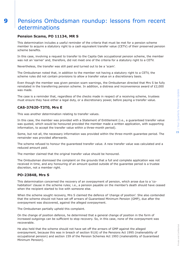# **9** Pensions Ombudsman roundup: lessons from recent determinations

# **Pension Scams, PO 11134, MR S**

This determination includes a useful reminder of the criteria that must be met for a pension scheme member to acquire a statutory right to a cash equivalent transfer value (CETV) of their preserved pension scheme benefits.

In this case, involving a request to transfer to the Capita Oak occupational pension scheme, the member was not an 'earner' and, therefore, did not meet one of the criteria for a statutory right to a CETV.

Nevertheless, the transfer was still paid and turned out to be a 'scam'.

The Ombudsman noted that, in addition to the member not having a statutory right to a CETV, the scheme rules did not contain provisions to allow a transfer value on a discretionary basis.

Even though the member was given pension scam warnings, the Ombudsman directed that Mrs S be fully reinstated in the transferring pension scheme. In addition, a distress and inconvenience award of £2,000 was made.

The case is a reminder that, regardless of the checks made in respect of a receiving scheme, trustees must ensure they have either a legal duty, or a discretionary power, before paying a transfer value.

# **CAS-37620-T3T0, Mrs E**

This was another determination relating to transfer values.

In this case, the member was provided with a Statement of Entitlement (i.e., a guaranteed transfer value was quoted, which would be honoured provided the member made a written application, with supporting information, to accept the transfer value within a three-month period).

Some, but not all, the necessary information was provided within the three-month guarantee period. The remainder was provided afterwards.

The scheme refused to honour the guaranteed transfer value. A new transfer value was calculated and a reduced amount paid.

The member claimed that the original transfer value should be honoured.

The Ombudsman dismissed the complaint on the grounds that a full and complete application was not received in time, and any honouring of an amount quoted outside of the guarantee period is a trustee discretion, not a member right.

# **PO-23848, Mrs S**

This determination concerned the recovery of an overpayment of pension, which arose due to a 'cohabitation' clause in the scheme rules; i.e., a pension payable on the member's death should have ceased when the recipient started to live with someone else.

When the scheme sought recovery, Mrs S claimed the defence of 'change of position'. She also contended that the scheme should not have set off arrears of Guaranteed Minimum Pension (GMP), due after the overpayment was discovered, against the alleged overpayment.

The Ombudsman partially upheld this complaint.

On the change of position defence, he determined that a general change of position in the form of increased outgoings can be sufficient to stop recovery. So, in this case, none of the overpayment was recoverable.

He also held that the scheme should not have set off the arrears of GMP against the alleged overpayment, because this was in breach of section 91(6) of the Pensions Act 1995 (inalienability of occupational pension) and section 159 of the Pension Schemes Act 1993 (inalienability of Guaranteed Minimum Pension).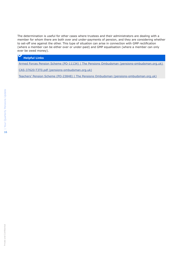The determination is useful for other cases where trustees and their administrators are dealing with a member for whom there are both over and under-payments of pension, and they are considering whether to set-off one against the other. This type of situation can arise in connection with GMP rectification (where a member can be either over or under-paid) and GMP equalisation (where a member can only ever be owed money).

### **Helpful Links**

Armed Forces Pension Scheme (PO-11134) | The Pensions Ombudsman [\(pensions-ombudsman.org.uk\)](https://www.pensions-ombudsman.org.uk/decision/2021/po-11134/armed-forces-pension-scheme-po-11134)

CAS-37620-T3T0.pdf [\(pensions-ombudsman.org.uk\)](https://www.pensions-ombudsman.org.uk/sites/default/files/decisions/CAS-37620-T3T0.pdf)

[Teachers' Pension Scheme \(PO-23848\) | The Pensions Ombudsman \(pensions-ombudsman.org.uk\)](https://www.pensions-ombudsman.org.uk/decision/2021/po-23848/teachers-pension-scheme-po-23848)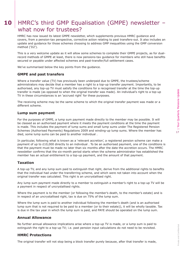# 10 | HMRC's third GMP Equalisation (GMPE) newsletter what now for trustees?

HMRC has now issued its latest GMPE newsletter, which supplements previous HMRC guidance and covers, from a pension-tax perspective, corrective action relating to past transfers-out. It also includes an update and guidance for those schemes choosing to address GMP inequalities using the GMP conversion method ('D2').

This is a very welcome update as it will allow some schemes to complete their GMPE projects, as for dualrecord methods of GMPE at least, there is now pensions-tax guidance for members who still have benefits secured or payable under affected schemes and past-transfer/full settlement cases.

We've summarised below the key points from the guidance.

### **GMPE and past transfers**

Where a transfer value (TV) has previously been underpaid due to GMPE, the trustees/scheme administrators may decide that a member has a right to a top-up transfer payment. Importantly, to be authorised, any top-up TV must satisfy the conditions for a recognised transfer at the time the top-up transfer is made (as opposed to when the original transfer was made). An individual's right to a top-up TV in these circumstances is an 'accrued right' for these purposes.

The receiving scheme may be the same scheme to which the original transfer payment was made or a different scheme.

### **Lump sum payment**

For the purposes of GMPE, a lump sum payment made directly to the member may be possible. It will be classed as an authorised payment where it meets the payment conditions at the time the payment is made. This includes the payment of lump sums and small lump sums under The Registered Pension Schemes (Authorised Payments) Regulations 2009 and winding-up lump sums. Where the member has died, some lump sums can be paid to another individual .

In particular, following what is known as a 'relevant accretion', a registered pension scheme can make a payment of up to £10,000 directly to an individual . To be an authorised payment, one of the conditions is that the payment must be made no later than six months after the date the accretion occurs. The HMRC newsletter confirms that the six-month period starts when the scheme administrator has established the member has an actual entitlement to a top-up payment, and the amount of that payment.

### **Taxation**

A top-up TV, and any lump sum paid to extinguish that right, derive from the additional rights to benefits that the individual had under the transferring scheme, and which were not taken into account when the original transfer was calculated. This right is an uncrystallised right.

Any lump sum payment made directly to a member to extinguish a member's right to a top-up TV will be a payment in respect of uncrystallised rights.

Where the payment is to the member (or following the member's death, to the member's estate) and is in respect of an uncrystallised right, tax is due on 75% of the lump sum.

Where the lump sum is paid to another individual following the member's death (and is an authorised lump sum that is not required to be paid to a member (or to their estate)), it will be wholly taxable. Tax is due in the tax year in which the lump sum is paid, and PAYE should be operated on the lump sum.

# **Annual Allowance**

No further annual allowance implications arise where a top-up TV is made, or a lump sum is paid to extinguish the right to a top-up TV; i.e. past pension input calculations do not need to be revisited.

# **HMRC Protections**

The original transfer will not stop being a block transfer purely because, after that transfer is made,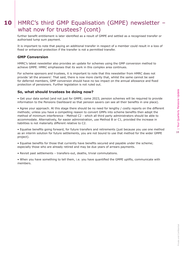# 10 | HMRC's third GMP Equalisation (GMPE) newsletter what now for trustees? (cont)

further benefit entitlement is later identified as a result of GMPE and settled as a recognised transfer or authorised lump sum payment.

It is important to note that paying an additional transfer in respect of a member could result in a loss of fixed or enhanced protection if the transfer is not a permitted transfer.

# **GMP Conversion**

HMRC's latest newsletter also provides an update for schemes using the GMP conversion method to achieve GMPE. HMRC emphasises that its work in this complex area continues.

For scheme sponsors and trustees, it is important to note that this newsletter from HMRC does not provide 'all the answers'. That said, there is now more clarity that, whilst the same cannot be said for deferred members, GMP conversion should have no tax impact on the annual allowance and fixed protection of pensioners. Further legislation is not ruled out.

# **So, what should trustees be doing now?**

• Get your data sorted (and not just for GMPE; come 2023, pension schemes will be required to provide information to the Pensions Dashboard so that pension savers can see all their benefits in one place).

• Agree your approach. At this stage there should be no need for lengthy / costly reports on the different methods; unless you have a compelling reason to convert GMPs into scheme benefits then adopt the method of minimum interference - Method C2 - which all third party administrators should be able to accommodate. Alternatively, for easier administration, use Method B or C1, provided the increase in liabilities is not materially different relative to C2.

• Equalise benefits going forward, for future transfers and retirements (just because you use one method as an interim solution for future settlements, you are not bound to use that method for the wider GMPE project).

• Equalise benefits for those that currently have benefits secured and payable under the scheme; especially those who are already retired and may be due years of arrears payments.

• Revisit past settlements – transfers-out, deaths, trivial commutations.

• When you have something to tell them, i.e. you have quantified the GMPE uplifts, communicate with members.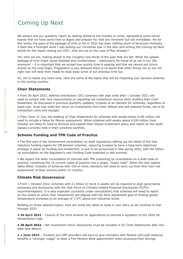# Coming Up Next

We always end our quarterly report by looking ahead to the months to come, signposting some future events that we have some time to digest and prepare for, that are imminent but not immediate. Yet for this writer, the pace of the passage of time so far in 2022 has been nothing short of ferocious! Honestly, it feels like a fortnight since I was putting our Christmas tree in the attic and writing the Coming Up Next article for the report closing out 2021. How are we on the cusp of May already!?

Yet, here we are, looking ahead to the (roughly) two thirds of the year that are left. While the speedy passage of time might cause disbelief and consternation – particularly for those of us not in our 20s anymore! – it is important that we accept how quickly time is passing and that we cannot put future events on the long finger. Preparation is key, because there is no doubt that other things not on our list right now will raise their heads to steal away some of our precious time too.

So, not to waste any more time, here are some of the topics that will be impacting your pension schemes in the coming months:

# **Chair Statements**

• From 30 April 2022, defined contribution (DC) schemes with year ends after 1 October 2021 will need to comply with new requirements on reporting net investment returns when drafting their Chair Statement. As discussed in previous quarterly updates, trustees of all relevant DC schemes, regardless of asset size, must now state the return on investments from their default and self-selected funds, net of all transaction costs and charges.

• Then, from 31 July, the drafting of Chair Statements for schemes with assets below £100 million will need to include a Value for Money assessment. While schemes with assets above £100 million from October are likely to need to disclose and explain their illiquid investment policy and report on the asset classes currently held in their scheme's portfolio.

# **Scheme Funding and TPR Code of Practice**

• The first part of the Government consultation on draft regulations setting out the detail of the new statutory funding regime for DB pension schemes, requiring trustees to have a long-term objective/ strategy in place for funding and investment, is due to be announced in late spring 2022, with the followup consultation on the Regulator's new Funding Code expected in late summer.

• We expect the latter consultation to coincide with TPR publishing its consultation on a draft code of practice, combining the 15 current codes of practice into a single, "super-code". When the new regime takes effect, trustees of schemes with 100 or more members will need to carry out their first 'own risk assessment' of their scheme within 12 months.

# **Climate Risk Governance**

• From 1 October 2022, schemes with £1 billion or more in assets will be required to align governance processes and disclosures with the Task Force on Climate-related Financial Disclosures (TCFD) recommendations. It is also expected (currently under consultation) that schemes will need to report on the extent to which their investments are aligned with the Paris Agreement goal of limiting global temperature increases to an average of 1.5°C above pre-industrial levels.

Building on those selected topics, here are some key dates to keep in your diary as we continue to tear through 2022:

**• 30 April 2022** – Closure of the third window for applications to become a signatory to the 2020 UK Stewardship Code.

**• 30 April 2022** – Net investment return disclosures must be included in DC Chair Statements after this date (see above).

**• 1 June 2022** – Trustees and GPP providers will have to give members with flexible (DC/cash balance) benefits a "stronger nudge" to book a free Pension Wise appointment when accessing their savings.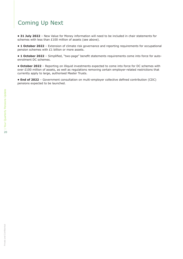# Coming Up Next

**• 31 July 2022** – New Value for Money information will need to be included in chair statements for schemes with less than £100 million of assets (see above).

**• 1 October 2022** – Extension of climate risk governance and reporting requirements for occupational pension schemes with £1 billion or more assets.

**• 1 October 2022** – Simplified, "two-page" benefit statements requirements come into force for autoenrolment DC schemes.

**• October 2022** – Reporting on illiquid investments expected to come into force for DC schemes with over £100 million of assets, as well as regulations removing certain employer-related restrictions that currently apply to large, authorised Master Trusts.

**• End of 2022** – Government consultation on multi-employer collective defined contribution (CDC) pensions expected to be launched.